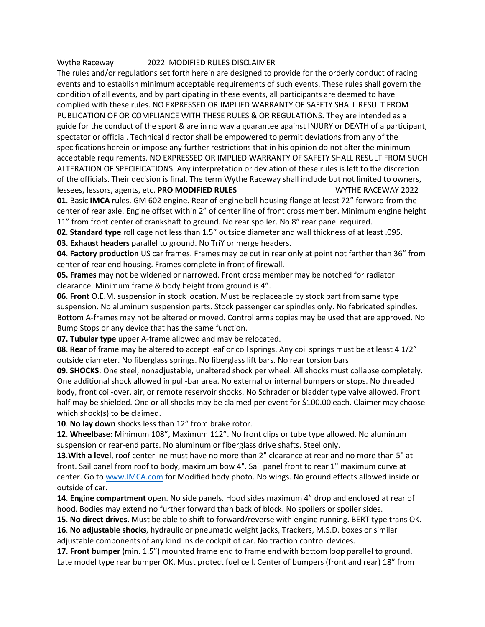## Wythe Raceway 2022 MODIFIED RULES DISCLAIMER

The rules and/or regulations set forth herein are designed to provide for the orderly conduct of racing events and to establish minimum acceptable requirements of such events. These rules shall govern the condition of all events, and by participating in these events, all participants are deemed to have complied with these rules. NO EXPRESSED OR IMPLIED WARRANTY OF SAFETY SHALL RESULT FROM PUBLICATION OF OR COMPLIANCE WITH THESE RULES & OR REGULATIONS. They are intended as a guide for the conduct of the sport & are in no way a guarantee against INJURY or DEATH of a participant, spectator or official. Technical director shall be empowered to permit deviations from any of the specifications herein or impose any further restrictions that in his opinion do not alter the minimum acceptable requirements. NO EXPRESSED OR IMPLIED WARRANTY OF SAFETY SHALL RESULT FROM SUCH ALTERATION OF SPECIFICATIONS. Any interpretation or deviation of these rules is left to the discretion of the officials. Their decision is final. The term Wythe Raceway shall include but not limited to owners, lessees, lessors, agents, etc. **PRO MODIFIED RULES** WYTHE RACEWAY 2022

**01**. Basic **IMCA** rules. GM 602 engine. Rear of engine bell housing flange at least 72" forward from the center of rear axle. Engine offset within 2" of center line of front cross member. Minimum engine height 11" from front center of crankshaft to ground. No rear spoiler. No 8" rear panel required.

**02**. **Standard type** roll cage not less than 1.5" outside diameter and wall thickness of at least .095.

**03. Exhaust headers** parallel to ground. No TriY or merge headers.

**04**. **Factory production** US car frames. Frames may be cut in rear only at point not farther than 36" from center of rear end housing. Frames complete in front of firewall.

**05. Frames** may not be widened or narrowed. Front cross member may be notched for radiator clearance. Minimum frame & body height from ground is 4".

**06**. **Front** O.E.M. suspension in stock location. Must be replaceable by stock part from same type suspension. No aluminum suspension parts. Stock passenger car spindles only. No fabricated spindles. Bottom A-frames may not be altered or moved. Control arms copies may be used that are approved. No Bump Stops or any device that has the same function.

**07. Tubular type** upper A-frame allowed and may be relocated.

**08**. **Rear** of frame may be altered to accept leaf or coil springs. Any coil springs must be at least 4 1/2" outside diameter. No fiberglass springs. No fiberglass lift bars. No rear torsion bars

**09**. **SHOCKS**: One steel, nonadjustable, unaltered shock per wheel. All shocks must collapse completely. One additional shock allowed in pull-bar area. No external or internal bumpers or stops. No threaded body, front coil-over, air, or remote reservoir shocks. No Schrader or bladder type valve allowed. Front half may be shielded. One or all shocks may be claimed per event for \$100.00 each. Claimer may choose which shock(s) to be claimed.

**10**. **No lay down** shocks less than 12" from brake rotor.

**12**. **Wheelbase:** Minimum 108", Maximum 112". No front clips or tube type allowed. No aluminum suspension or rear-end parts. No aluminum or fiberglass drive shafts. Steel only.

**13**.**With a level**, roof centerline must have no more than 2" clearance at rear and no more than 5" at front. Sail panel from roof to body, maximum bow 4". Sail panel front to rear 1" maximum curve at center. Go to [www.IMCA.com](http://www.imca.com/) for Modified body photo. No wings. No ground effects allowed inside or outside of car.

**14**. **Engine compartment** open. No side panels. Hood sides maximum 4" drop and enclosed at rear of hood. Bodies may extend no further forward than back of block. No spoilers or spoiler sides.

**15**. **No direct drives**. Must be able to shift to forward/reverse with engine running. BERT type trans OK. **16**. **No adjustable shocks**, hydraulic or pneumatic weight jacks, Trackers, M.S.D. boxes or similar adjustable components of any kind inside cockpit of car. No traction control devices.

**17. Front bumper** (min. 1.5") mounted frame end to frame end with bottom loop parallel to ground. Late model type rear bumper OK. Must protect fuel cell. Center of bumpers (front and rear) 18" from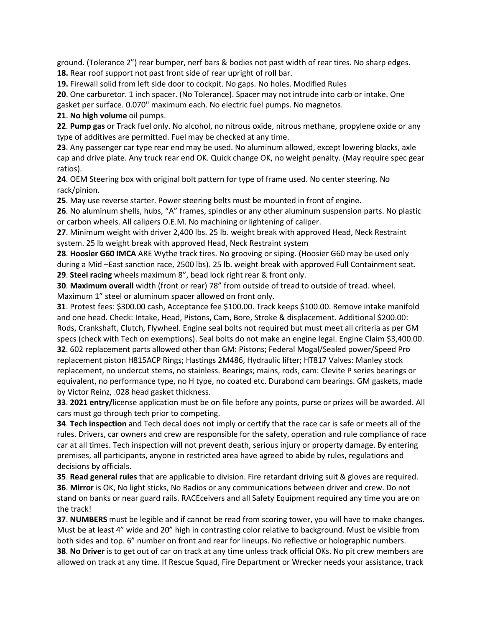ground. (Tolerance 2") rear bumper, nerf bars & bodies not past width of rear tires. No sharp edges. **18.** Rear roof support not past front side of rear upright of roll bar.

**19.** Firewall solid from left side door to cockpit. No gaps. No holes. Modified Rules

**20**. One carburetor. 1 inch spacer. (No Tolerance). Spacer may not intrude into carb or intake. One gasket per surface. 0.070" maximum each. No electric fuel pumps. No magnetos.

**21**. **No high volume** oil pumps.

**22**. **Pump gas** or Track fuel only. No alcohol, no nitrous oxide, nitrous methane, propylene oxide or any type of additives are permitted. Fuel may be checked at any time.

**23**. Any passenger car type rear end may be used. No aluminum allowed, except lowering blocks, axle cap and drive plate. Any truck rear end OK. Quick change OK, no weight penalty. (May require spec gear ratios).

**24**. OEM Steering box with original bolt pattern for type of frame used. No center steering. No rack/pinion.

**25**. May use reverse starter. Power steering belts must be mounted in front of engine.

**26**. No aluminum shells, hubs, "A" frames, spindles or any other aluminum suspension parts. No plastic or carbon wheels. All calipers O.E.M. No machining or lightening of caliper.

**27**. Minimum weight with driver 2,400 lbs. 25 lb. weight break with approved Head, Neck Restraint system. 25 lb weight break with approved Head, Neck Restraint system

**28**. **Hoosier G60 IMCA** ARE Wythe track tires. No grooving or siping. (Hoosier G60 may be used only during a Mid –East sanction race, 2500 lbs). 25 lb. weight break with approved Full Containment seat. **29**. **Steel racing** wheels maximum 8", bead lock right rear & front only.

**30**. **Maximum overall** width (front or rear) 78" from outside of tread to outside of tread. wheel. Maximum 1" steel or aluminum spacer allowed on front only.

**31**. Protest fees: \$300.00 cash, Acceptance fee \$100.00. Track keeps \$100.00. Remove intake manifold and one head. Check: Intake, Head, Pistons, Cam, Bore, Stroke & displacement. Additional \$200.00: Rods, Crankshaft, Clutch, Flywheel. Engine seal bolts not required but must meet all criteria as per GM specs (check with Tech on exemptions). Seal bolts do not make an engine legal. Engine Claim \$3,400.00. **32**. 602 replacement parts allowed other than GM: Pistons; Federal Mogal/Sealed power/Speed Pro replacement piston H815ACP Rings; Hastings 2M486, Hydraulic lifter; HT817 Valves: Manley stock replacement, no undercut stems, no stainless. Bearings; mains, rods, cam: Clevite P series bearings or equivalent, no performance type, no H type, no coated etc. Durabond cam bearings. GM gaskets, made by Victor Reinz, .028 head gasket thickness.

**33**. **2021 entry/**license application must be on file before any points, purse or prizes will be awarded. All cars must go through tech prior to competing.

**34**. **Tech inspection** and Tech decal does not imply or certify that the race car is safe or meets all of the rules. Drivers, car owners and crew are responsible for the safety, operation and rule compliance of race car at all times. Tech inspection will not prevent death, serious injury or property damage. By entering premises, all participants, anyone in restricted area have agreed to abide by rules, regulations and decisions by officials.

**35**. **Read general rules** that are applicable to division. Fire retardant driving suit & gloves are required. **36**. **Mirror** is OK, No light sticks, No Radios or any communications between driver and crew. Do not stand on banks or near guard rails. RACEceivers and all Safety Equipment required any time you are on the track!

**37**. **NUMBERS** must be legible and if cannot be read from scoring tower, you will have to make changes. Must be at least 4" wide and 20" high in contrasting color relative to background. Must be visible from both sides and top. 6" number on front and rear for lineups. No reflective or holographic numbers.

**38**. **No Driver** is to get out of car on track at any time unless track official OKs. No pit crew members are allowed on track at any time. If Rescue Squad, Fire Department or Wrecker needs your assistance, track